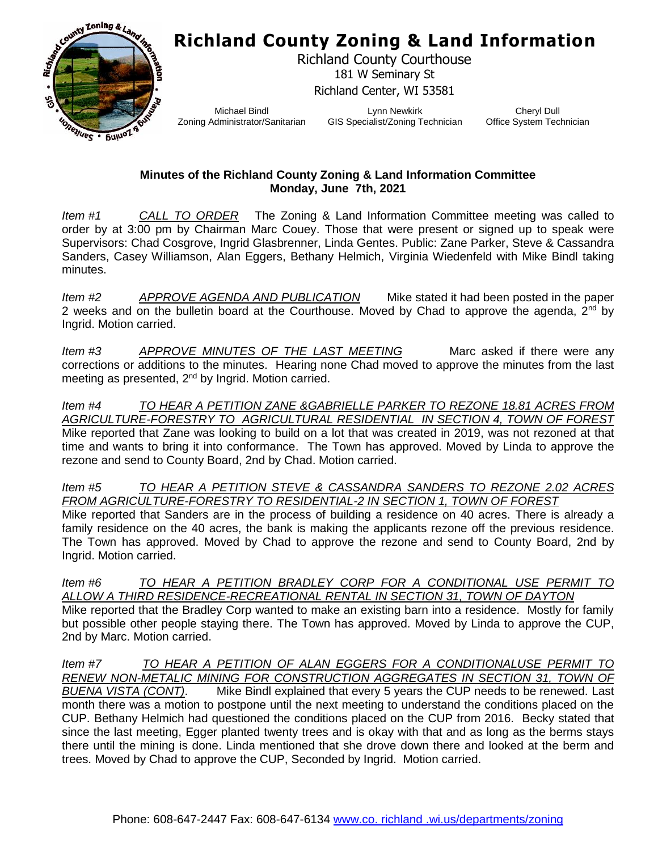## **Richland County Zoning & Land Information**



Richland County Courthouse 181 W Seminary St Richland Center, WI 53581

Michael Bindl Zoning Administrator/Sanitarian

Lynn Newkirk GIS Specialist/Zoning Technician

Cheryl Dull Office System Technician

## **Minutes of the Richland County Zoning & Land Information Committee Monday, June 7th, 2021**

*Item #1 CALL TO ORDER* The Zoning & Land Information Committee meeting was called to order by at 3:00 pm by Chairman Marc Couey. Those that were present or signed up to speak were Supervisors: Chad Cosgrove, Ingrid Glasbrenner, Linda Gentes. Public: Zane Parker, Steve & Cassandra Sanders, Casey Williamson, Alan Eggers, Bethany Helmich, Virginia Wiedenfeld with Mike Bindl taking minutes.

*Item #2 APPROVE AGENDA AND PUBLICATION* Mike stated it had been posted in the paper 2 weeks and on the bulletin board at the Courthouse. Moved by Chad to approve the agenda,  $2^{nd}$  by Ingrid. Motion carried.

*Item #3 APPROVE MINUTES OF THE LAST MEETING* Marc asked if there were any corrections or additions to the minutes. Hearing none Chad moved to approve the minutes from the last meeting as presented, 2<sup>nd</sup> by Ingrid. Motion carried.

*Item #4 TO HEAR A PETITION ZANE &GABRIELLE PARKER TO REZONE 18.81 ACRES FROM AGRICULTURE-FORESTRY TO AGRICULTURAL RESIDENTIAL IN SECTION 4, TOWN OF FOREST* Mike reported that Zane was looking to build on a lot that was created in 2019, was not rezoned at that time and wants to bring it into conformance. The Town has approved. Moved by Linda to approve the rezone and send to County Board, 2nd by Chad. Motion carried.

*Item #5 TO HEAR A PETITION STEVE & CASSANDRA SANDERS TO REZONE 2.02 ACRES FROM AGRICULTURE-FORESTRY TO RESIDENTIAL-2 IN SECTION 1, TOWN OF FOREST*

Mike reported that Sanders are in the process of building a residence on 40 acres. There is already a family residence on the 40 acres, the bank is making the applicants rezone off the previous residence. The Town has approved. Moved by Chad to approve the rezone and send to County Board, 2nd by Ingrid. Motion carried.

*Item #6 TO HEAR A PETITION BRADLEY CORP FOR A CONDITIONAL USE PERMIT TO ALLOW A THIRD RESIDENCE-RECREATIONAL RENTAL IN SECTION 31, TOWN OF DAYTON* Mike reported that the Bradley Corp wanted to make an existing barn into a residence. Mostly for family but possible other people staying there. The Town has approved. Moved by Linda to approve the CUP, 2nd by Marc. Motion carried.

*Item #7 TO HEAR A PETITION OF ALAN EGGERS FOR A CONDITIONALUSE PERMIT TO*  **RENEW NON-METALIC MINING FOR CONSTRUCTION AGGREGATES IN SECTION 31, TOWN OF** *BUENA VISTA (CONT)*. Mike Bindl explained that every 5 years the CUP needs to be renewed. Last month there was a motion to postpone until the next meeting to understand the conditions placed on the CUP. Bethany Helmich had questioned the conditions placed on the CUP from 2016. Becky stated that since the last meeting, Egger planted twenty trees and is okay with that and as long as the berms stays there until the mining is done. Linda mentioned that she drove down there and looked at the berm and trees. Moved by Chad to approve the CUP, Seconded by Ingrid. Motion carried.